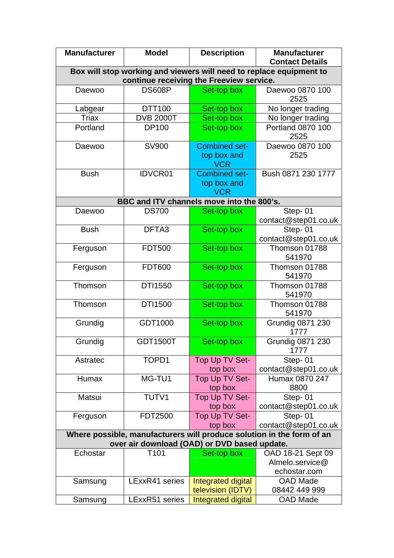| <b>Manufacturer</b>                                                                                             | <b>Model</b>                              | <b>Description</b>                           | <b>Manufacturer</b>             |  |  |
|-----------------------------------------------------------------------------------------------------------------|-------------------------------------------|----------------------------------------------|---------------------------------|--|--|
|                                                                                                                 |                                           |                                              | <b>Contact Details</b>          |  |  |
| Box will stop working and viewers will need to replace equipment to<br>continue receiving the Freeview service. |                                           |                                              |                                 |  |  |
| Daewoo                                                                                                          | <b>DS608P</b>                             | Set-top box                                  | Daewoo 0870 100                 |  |  |
|                                                                                                                 |                                           |                                              | 2525                            |  |  |
| Labgear                                                                                                         | <b>DTT100</b>                             | Set-top box                                  | No longer trading               |  |  |
| <b>Triax</b>                                                                                                    | <b>DVB 2000T</b>                          | Set-top box                                  | No longer trading               |  |  |
| Portland                                                                                                        | <b>DP100</b>                              | Set-top box                                  | Portland 0870 100<br>2525       |  |  |
| Daewoo                                                                                                          | <b>SV900</b>                              | <b>Combined set-</b>                         | Daewoo 0870 100                 |  |  |
|                                                                                                                 |                                           | top box and<br><b>VCR</b>                    | 2525                            |  |  |
| <b>Bush</b>                                                                                                     | <b>IDVCR01</b>                            | <b>Combined set-</b>                         | Bush 0871 230 1777              |  |  |
|                                                                                                                 |                                           | top box and                                  |                                 |  |  |
|                                                                                                                 |                                           | <b>VCR</b>                                   |                                 |  |  |
|                                                                                                                 | BBC and ITV channels move into the 800's. |                                              |                                 |  |  |
| Daewoo                                                                                                          | <b>DS700</b>                              | Set-top box                                  | Step-01                         |  |  |
|                                                                                                                 |                                           |                                              | contact@step01.co.uk            |  |  |
| <b>Bush</b>                                                                                                     | DFTA3                                     | Set-top box                                  | Step-01                         |  |  |
|                                                                                                                 |                                           |                                              | contact@step01.co.uk            |  |  |
| Ferguson                                                                                                        | <b>FDT500</b>                             | Set-top box                                  | Thomson 01788<br>541970         |  |  |
| Ferguson                                                                                                        | <b>FDT600</b>                             | Set-top box                                  | Thomson 01788<br>541970         |  |  |
| Thomson                                                                                                         | DTI1550                                   | Set-top box                                  | Thomson 01788<br>541970         |  |  |
| Thomson                                                                                                         | DTI1500                                   | Set-top box                                  | Thomson 01788<br>541970         |  |  |
| Grundig                                                                                                         | GDT1000                                   | Set-top box                                  | <b>Grundig 0871 230</b><br>1777 |  |  |
| Grundig                                                                                                         | <b>GDT1500T</b>                           | Set-top box                                  | Grundig 0871 230<br>1777        |  |  |
| Astratec                                                                                                        | TOPD1                                     | Top Up TV Set-                               | Step-01                         |  |  |
|                                                                                                                 |                                           | top box                                      | contact@step01.co.uk            |  |  |
| <b>Humax</b>                                                                                                    | MG-TU1                                    | Top Up TV Set-                               | Humax 0870 247                  |  |  |
|                                                                                                                 |                                           | top box                                      | 8800                            |  |  |
| Matsui                                                                                                          | TUTV1                                     | Top Up TV Set-                               | Step-01                         |  |  |
|                                                                                                                 |                                           | top box                                      | contact@step01.co.uk            |  |  |
| Ferguson                                                                                                        | <b>FDT2500</b>                            | Top Up TV Set-                               | Step-01                         |  |  |
|                                                                                                                 |                                           | top box                                      | contact@step01.co.uk            |  |  |
| Where possible, manufacturers will produce solution in the form of an                                           |                                           |                                              |                                 |  |  |
|                                                                                                                 |                                           | over air download (OAD) or DVD based update. |                                 |  |  |
| Echostar                                                                                                        | T <sub>101</sub>                          | Set-top box                                  | OAD 18-21 Sept 09               |  |  |
|                                                                                                                 |                                           |                                              | Almelo.service@                 |  |  |
|                                                                                                                 |                                           |                                              | echostar.com                    |  |  |
| Samsung                                                                                                         | LExxR41 series                            | Integrated digital                           | <b>OAD Made</b>                 |  |  |
|                                                                                                                 |                                           | television (IDTV)                            | 08442 449 999                   |  |  |
| Samsung                                                                                                         | LExxR51 series                            | Integrated digital                           | OAD Made                        |  |  |